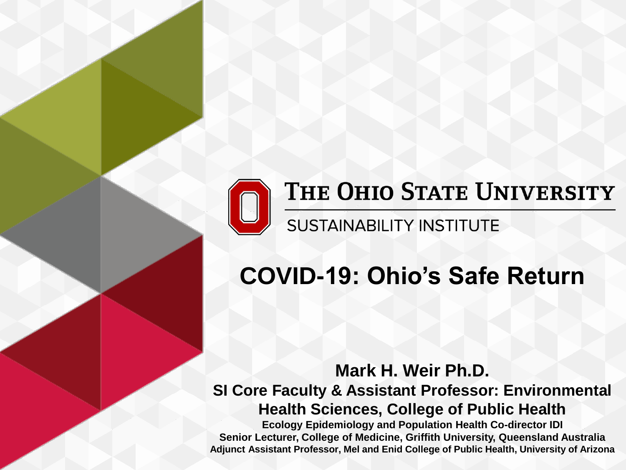

### THE OHIO STATE UNIVERSITY

SUSTAINABILITY INSTITUTE

# **COVID-19: Ohio's Safe Return**

**Mark H. Weir Ph.D.** 

**SI Core Faculty & Assistant Professor: Environmental Health Sciences, College of Public Health**

**Ecology Epidemiology and Population Health Co-director IDI Senior Lecturer, College of Medicine, Griffith University, Queensland Australia Adjunct Assistant Professor, Mel and Enid College of Public Health, University of Arizona**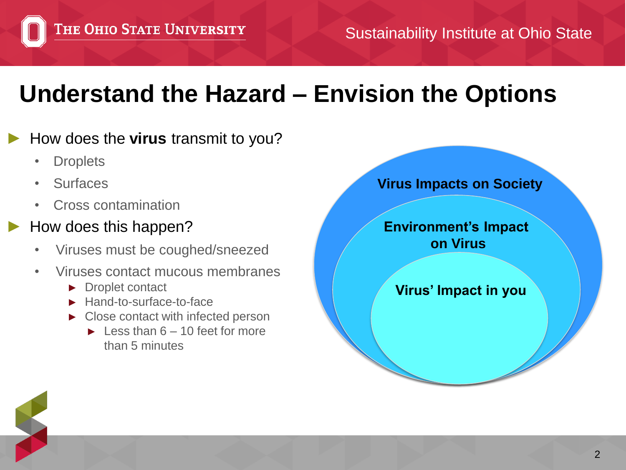## **Understand the Hazard – Envision the Options**

#### ► How does the **virus** transmit to you?

- Droplets
- **Surfaces**
- Cross contamination

#### ► How does this happen?

- Viruses must be coughed/sneezed
- Viruses contact mucous membranes
	- ► Droplet contact
	- ► Hand-to-surface-to-face
	- ► Close contact with infected person
		- $\blacktriangleright$  Less than 6 10 feet for more than 5 minutes

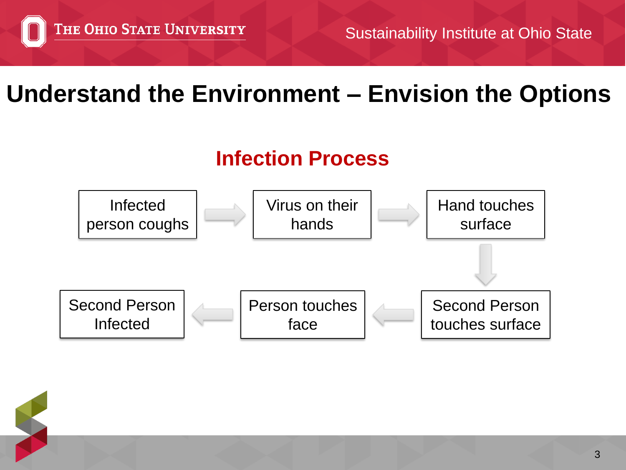### **Understand the Environment – Envision the Options**

#### **Infection Process**

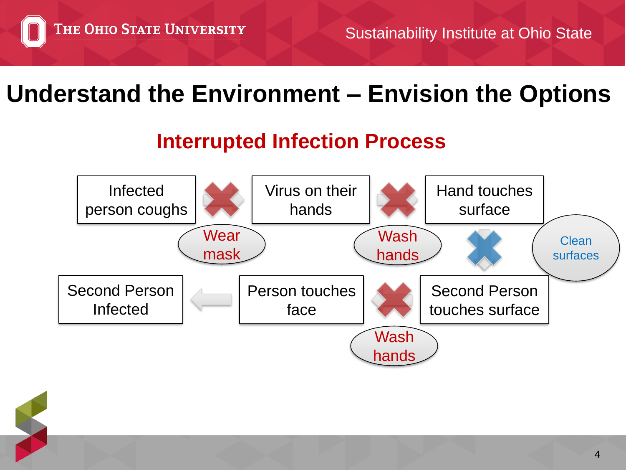### **Understand the Environment – Envision the Options**

#### **Interrupted Infection Process**